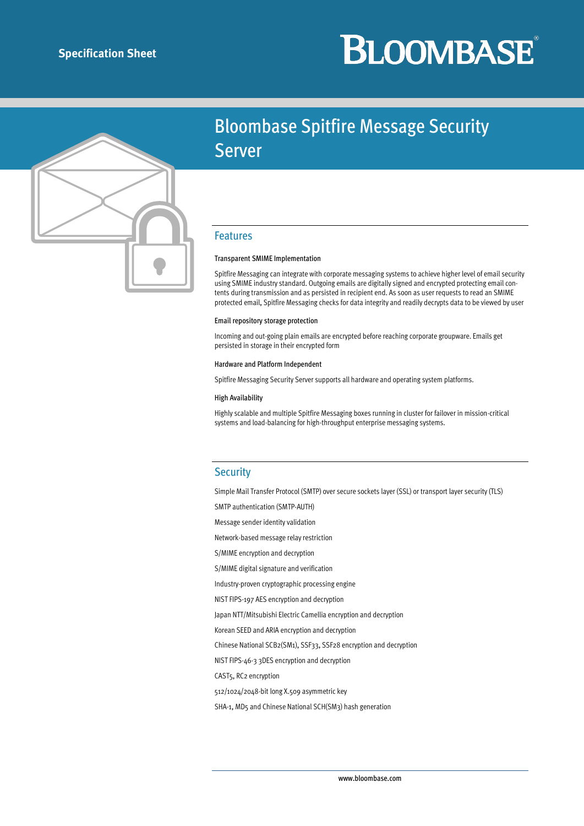# **BLOOMBASE**



# Bloombase Spitfire Message Security Server

#### Features

#### Transparent SMIME Implementation

Spitfire Messaging can integrate with corporate messaging systems to achieve higher level of email security using SMIME industry standard. Outgoing emails are digitally signed and encrypted protecting email contents during transmission and as persisted in recipient end. As soon as user requests to read an SMIME protected email, Spitfire Messaging checks for data integrity and readily decrypts data to be viewed by user

#### Email repository storage protection

Incoming and out-going plain emails are encrypted before reaching corporate groupware. Emails get persisted in storage in their encrypted form

#### Hardware and Platform Independent

Spitfire Messaging Security Server supports all hardware and operating system platforms.

#### High Availability

Highly scalable and multiple Spitfire Messaging boxes running in cluster for failover in mission-critical systems and load-balancing for high-throughput enterprise messaging systems.

#### **Security**

Simple Mail Transfer Protocol (SMTP) over secure sockets layer (SSL) or transport layer security (TLS) SMTP authentication (SMTP-AUTH) Message sender identity validation Network-based message relay restriction S/MIME encryption and decryption S/MIME digital signature and verification Industry-proven cryptographic processing engine NIST FIPS-197 AES encryption and decryption Japan NTT/Mitsubishi Electric Camellia encryption and decryption Korean SEED and ARIA encryption and decryption Chinese National SCB2(SM1), SSF33, SSF28 encryption and decryption NIST FIPS-46-3 3DES encryption and decryption CAST5, RC2 encryption 512/1024/2048-bit long X.509 asymmetric key SHA-1, MD5 and Chinese National SCH(SM3) hash generation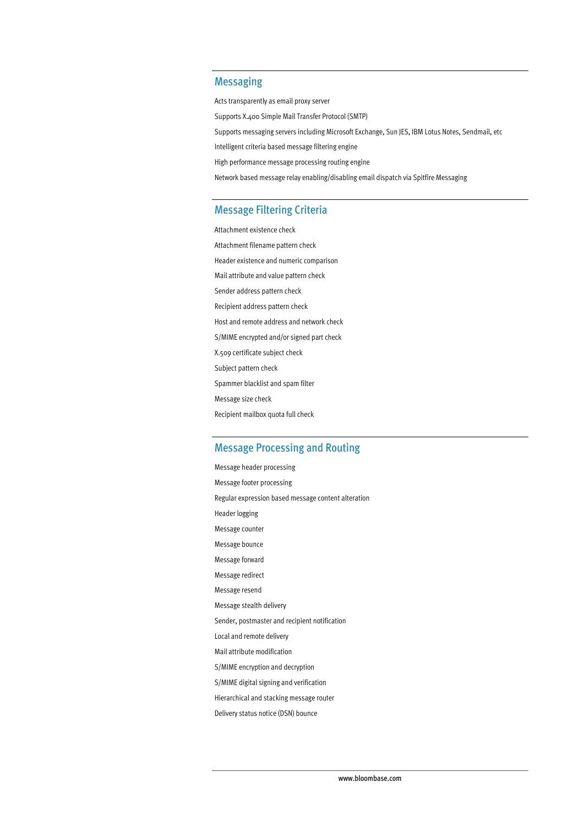# Messaging

Acts transparently as email proxy server

Supports X.400 Simple Mail Transfer Protocol (SMTP)

Supports messaging servers including Microsoft Exchange, Sun JES, IBM Lotus Notes, Sendmail, etc

Intelligent criteria based message filtering engine

High performance message processing routing engine

Network based message relay enabling/disabling email dispatch via Spitfire Messaging

#### Message Filtering Criteria

Attachment existence check Attachment filename pattern check Header existence and numeric comparison Mail attribute and value pattern check Sender address pattern check Recipient address pattern check Host and remote address and network check S/MIME encrypted and/or signed part check X.509 certificate subject check Subject pattern check Spammer blacklist and spam filter Message size check Recipient mailbox quota full check

#### Message Processing and Routing

Message header processing Message footer processing Regular expression based message content alteration Header logging Message counter Message bounce Message forward Message redirect Message resend Message stealth delivery Sender, postmaster and recipient notification Local and remote delivery Mail attribute modification S/MIME encryption and decryption S/MIME digital signing and verification Hierarchical and stacking message router Delivery status notice (DSN) bounce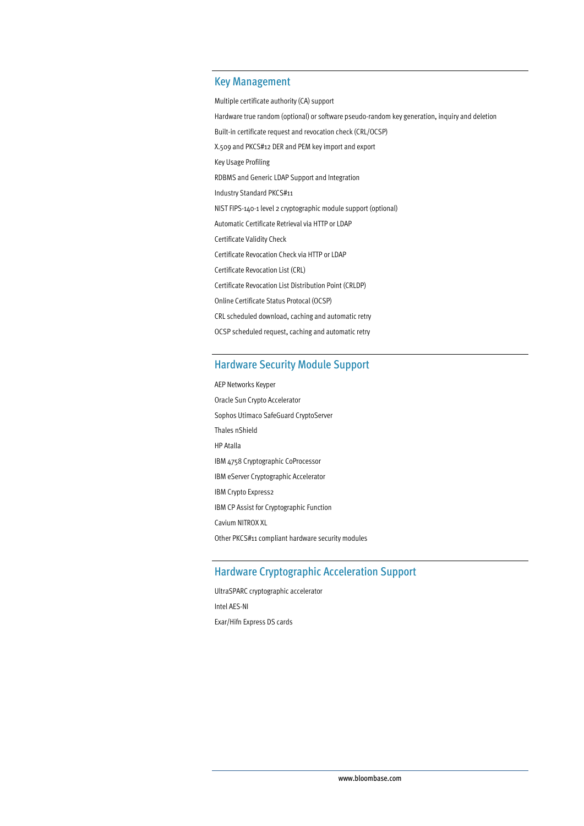#### Key Management

Multiple certificate authority (CA) support Hardware true random (optional) or software pseudo-random key generation, inquiry and deletion Built-in certificate request and revocation check (CRL/OCSP) X.509 and PKCS#12 DER and PEM key import and export Key Usage Profiling RDBMS and Generic LDAP Support and Integration Industry Standard PKCS#11 NIST FIPS-140-1 level 2 cryptographic module support (optional) Automatic Certificate Retrieval via HTTP or LDAP Certificate Validity Check Certificate Revocation Check via HTTP or LDAP Certificate Revocation List (CRL) Certificate Revocation List Distribution Point (CRLDP) Online Certificate Status Protocal (OCSP) CRL scheduled download, caching and automatic retry OCSP scheduled request, caching and automatic retry

#### Hardware Security Module Support

AEP Networks Keyper Oracle Sun Crypto Accelerator Sophos Utimaco SafeGuard CryptoServer Thales nShield HP Atalla IBM 4758 Cryptographic CoProcessor IBM eServer Cryptographic Accelerator IBM Crypto Express2 IBM CP Assist for Cryptographic Function Cavium NITROX XL Other PKCS#11 compliant hardware security modules

# Hardware Cryptographic Acceleration Support

UltraSPARC cryptographic accelerator Intel AES-NI Exar/Hifn Express DS cards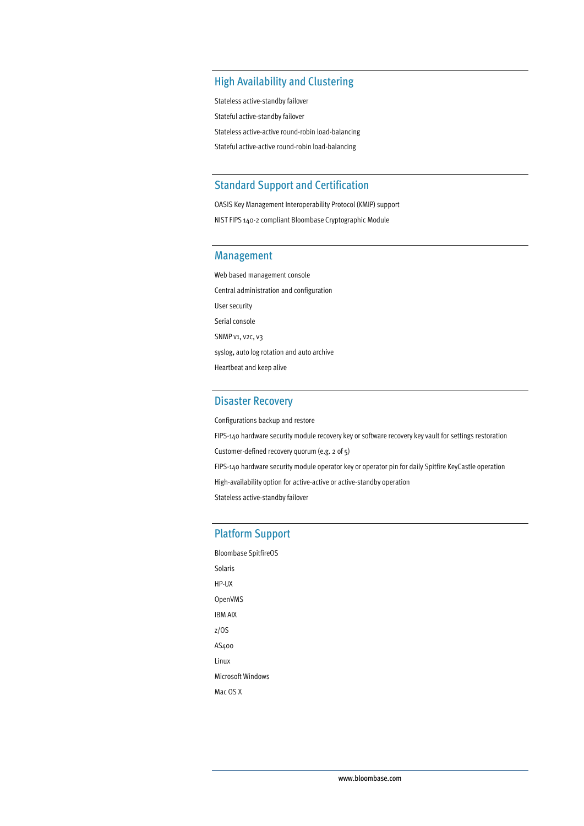# High Availability and Clustering

Stateless active-standby failover Stateful active-standby failover Stateless active-active round-robin load-balancing

Stateful active-active round-robin load-balancing

#### Standard Support and Certification

OASIS Key Management Interoperability Protocol (KMIP) support NIST FIPS 140-2 compliant Bloombase Cryptographic Module

#### Management

Web based management console Central administration and configuration User security Serial console SNMP v1, v2c, v3 syslog, auto log rotation and auto archive Heartbeat and keep alive

#### Disaster Recovery

Configurations backup and restore

FIPS-140 hardware security module recovery key or software recovery key vault for settings restoration Customer-defined recovery quorum (e.g. 2 of 5) FIPS-140 hardware security module operator key or operator pin for daily Spitfire KeyCastle operation High-availability option for active-active or active-standby operation Stateless active-standby failover

# Platform Support

Bloombase SpitfireOS Solaris HP-UX OpenVMS IBM AIX z/OS AS400 Linux Microsoft Windows Mac OS X